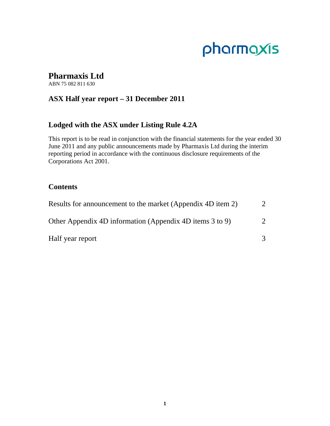# pharmaxis

# **Pharmaxis Ltd**

ABN 75 082 811 630

# **ASX Half year report – 31 December 2011**

# **Lodged with the ASX under Listing Rule 4.2A**

This report is to be read in conjunction with the financial statements for the year ended 30 June 2011 and any public announcements made by Pharmaxis Ltd during the interim reporting period in accordance with the continuous disclosure requirements of the Corporations Act 2001.

# **Contents**

| Results for announcement to the market (Appendix 4D item 2) |               |
|-------------------------------------------------------------|---------------|
| Other Appendix 4D information (Appendix 4D items 3 to 9)    | $\mathcal{D}$ |
| Half year report                                            |               |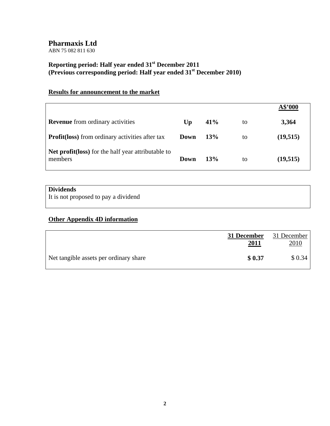ABN 75 082 811 630

# **Reporting period: Half year ended 31st December 2011 (Previous corresponding period: Half year ended 31st December 2010)**

# **Results for announcement to the market**

|                                                                |      |     |    | A\$'000  |
|----------------------------------------------------------------|------|-----|----|----------|
| <b>Revenue</b> from ordinary activities                        | Up   | 41% | to | 3,364    |
| <b>Profit (loss)</b> from ordinary activities after tax        | Down | 13% | to | (19,515) |
| Net profit (loss) for the half year attributable to<br>members | Down | 13% | to | (19,515) |

# **Dividends**

It is not proposed to pay a dividend

# **Other Appendix 4D information**

|                                        | 31 December<br><u>2011</u> | 31 December<br>2010 |
|----------------------------------------|----------------------------|---------------------|
| Net tangible assets per ordinary share | \$0.37                     | \$0.34              |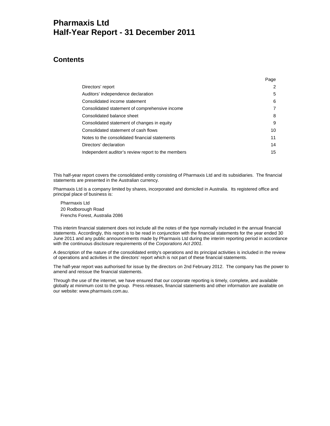# **Pharmaxis Ltd Half-Year Report - 31 December 2011**

# **Contents**

|                                                    | Page |
|----------------------------------------------------|------|
| Directors' report                                  | 2    |
| Auditors' independence declaration                 | 5    |
| Consolidated income statement                      | 6    |
| Consolidated statement of comprehensive income     | 7    |
| Consolidated balance sheet                         | 8    |
| Consolidated statement of changes in equity        | 9    |
| Consolidated statement of cash flows               | 10   |
| Notes to the consolidated financial statements     | 11   |
| Directors' declaration                             | 14   |
| Independent auditor's review report to the members | 15   |

This half-year report covers the consolidated entity consisting of Pharmaxis Ltd and its subsidiaries. The financial statements are presented in the Australian currency.

Pharmaxis Ltd is a company limited by shares, incorporated and domiciled in Australia. Its registered office and principal place of business is:

Pharmaxis Ltd 20 Rodborough Road Frenchs Forest, Australia 2086

This interim financial statement does not include all the notes of the type normally included in the annual financial statements. Accordingly, this report is to be read in conjunction with the financial statements for the year ended 30 June 2011 and any public announcements made by Pharmaxis Ltd during the interim reporting period in accordance with the continuous disclosure requirements of the *Corporations Act 2001*.

A description of the nature of the consolidated entity's operations and its principal activities is included in the review of operations and activities in the directors' report which is not part of these financial statements.

The half-year report was authorised for issue by the directors on 2nd February 2012. The company has the power to amend and reissue the financial statements.

Through the use of the internet, we have ensured that our corporate reporting is timely, complete, and available globally at minimum cost to the group. Press releases, financial statements and other information are available on our website: www.pharmaxis.com.au.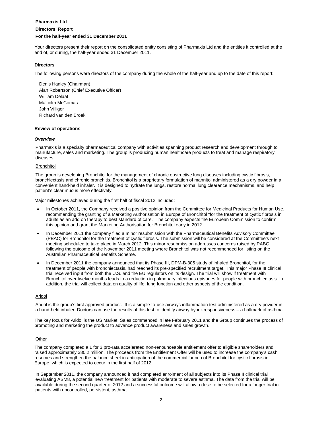### **Directors' Report**

### **For the half-year ended 31 December 2011**

Your directors present their report on the consolidated entity consisting of Pharmaxis Ltd and the entities it controlled at the end of, or during, the half-year ended 31 December 2011.

### **Directors**

The following persons were directors of the company during the whole of the half-year and up to the date of this report:

Denis Hanley (Chairman) Alan Robertson (Chief Executive Officer) William Delaat Malcolm McComas John Villiger Richard van den Broek

### **Review of operations**

### *Overview*

Pharmaxis is a specialty pharmaceutical company with activities spanning product research and development through to manufacture, sales and marketing. The group is producing human healthcare products to treat and manage respiratory diseases.

### **Bronchitol**

The group is developing Bronchitol for the management of chronic obstructive lung diseases including cystic fibrosis, bronchiectasis and chronic bronchitis. Bronchitol is a proprietary formulation of mannitol administered as a dry powder in a convenient hand-held inhaler. It is designed to hydrate the lungs, restore normal lung clearance mechanisms, and help patient's clear mucus more effectively.

Major milestones achieved during the first half of fiscal 2012 included:

- In October 2011, the Company received a positive opinion from the Committee for Medicinal Products for Human Use, recommending the granting of a Marketing Authorisation in Europe of Bronchitol "for the treatment of cystic fibrosis in adults as an add on therapy to best standard of care." The company expects the European Commission to confirm this opinion and grant the Marketing Authorisation for Bronchitol early in 2012.
- In December 2011 the company filed a minor resubmission with the Pharmaceutical Benefits Advisory Committee (PBAC) for Bronchitol for the treatment of cystic fibrosis. The submission will be considered at the Committee's next meeting scheduled to take place in March 2012. This minor resubmission addresses concerns raised by PABC following the outcome of the November 2011 meeting where Bronchitol was not recommended for listing on the Australian Pharmaceutical Benefits Scheme.
- In December 2011 the company announced that its Phase III, DPM-B-305 study of inhaled Bronchitol, for the treatment of people with bronchiectasis, had reached its pre‐specified recruitment target. This major Phase III clinical trial received input from both the U.S. and the EU regulators on its design. The trial will show if treatment with Bronchitol over twelve months leads to a reduction in pulmonary infectious episodes for people with bronchiectasis. In addition, the trial will collect data on quality of life, lung function and other aspects of the condition.

### Aridol

Aridol is the group's first approved product. It is a simple-to-use airways inflammation test administered as a dry powder in a hand-held inhaler. Doctors can use the results of this test to identify airway hyper-responsiveness – a hallmark of asthma.

The key focus for Aridol is the US Market. Sales commenced in late February 2011 and the Group continues the process of promoting and marketing the product to advance product awareness and sales growth.

### Other

The company completed a 1 for 3 pro-rata accelerated non-renounceable entitlement offer to eligible shareholders and raised approximately \$80.2 million. The proceeds from the Entitlement Offer will be used to increase the company's cash reserves and strengthen the balance sheet in anticipation of the commercial launch of Bronchitol for cystic fibrosis in Europe, which is expected to occur in the first half of 2012.

In September 2011, the company announced it had completed enrolment of all subjects into its Phase II clinical trial evaluating ASM8, a potential new treatment for patients with moderate to severe asthma. The data from the trial will be available during the second quarter of 2012 and a successful outcome will allow a dose to be selected for a longer trial in patients with uncontrolled, persistent, asthma.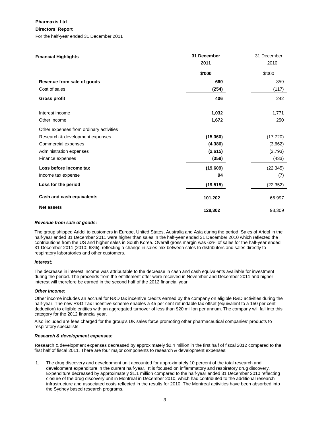### **Directors' Report**

For the half-year ended 31 December 2011

| <b>Financial Highlights</b>             | 31 December | 31 December |
|-----------------------------------------|-------------|-------------|
|                                         | 2011        | 2010        |
|                                         | \$'000      | \$'000      |
| Revenue from sale of goods              | 660         | 359         |
| Cost of sales                           | (254)       | (117)       |
| <b>Gross profit</b>                     | 406         | 242         |
| Interest income                         | 1,032       | 1,771       |
| Other income                            | 1,672       | 250         |
| Other expenses from ordinary activities |             |             |
| Research & development expenses         | (15, 360)   | (17, 720)   |
| Commercial expenses                     | (4,386)     | (3,662)     |
| Administration expenses                 | (2,615)     | (2,793)     |
| Finance expenses                        | (358)       | (433)       |
| Loss before income tax                  | (19,609)    | (22, 345)   |
| Income tax expense                      | 94          | (7)         |
| Loss for the period                     | (19, 515)   | (22, 352)   |
| Cash and cash equivalents               | 101,202     | 66,997      |
| <b>Net assets</b>                       | 128,302     | 93,309      |

### *Revenue from sale of goods:*

The group shipped Aridol to customers in Europe, United States, Australia and Asia during the period. Sales of Aridol in the half-year ended 31 December 2011 were higher than sales in the half-year ended 31 December 2010 which reflected the contributions from the US and higher sales in South Korea. Overall gross margin was 62% of sales for the half-year ended 31 December 2011 (2010: 68%), reflecting a change in sales mix between sales to distributors and sales directly to respiratory laboratories and other customers.

### *Interest:*

The decrease in interest income was attributable to the decrease in cash and cash equivalents available for investment during the period. The proceeds from the entitlement offer were received in November and December 2011 and higher interest will therefore be earned in the second half of the 2012 financial year.

### *Other income:*

Other income includes an accrual for R&D tax incentive credits earned by the company on eligible R&D activities during the half-year. The new R&D Tax Incentive scheme enables a 45 per cent refundable tax offset (equivalent to a 150 per cent deduction) to eligible entities with an aggregated turnover of less than \$20 million per annum. The company will fall into this category for the 2012 financial year.

Also included are fees charged for the group's UK sales force promoting other pharmaceutical companies' products to respiratory specialists.

### *Research & development expenses:*

Research & development expenses decreased by approximately \$2.4 million in the first half of fiscal 2012 compared to the first half of fiscal 2011. There are four major components to research & development expenses:

1. The drug discovery and development unit accounted for approximately 10 percent of the total research and development expenditure in the current half-year. It is focused on inflammatory and respiratory drug discovery. Expenditure decreased by approximately \$1.1 million compared to the half-year ended 31 December 2010 reflecting closure of the drug discovery unit in Montreal in December 2010, which had contributed to the additional research infrastructure and associated costs reflected in the results for 2010. The Montreal activities have been absorbed into the Sydney based research programs.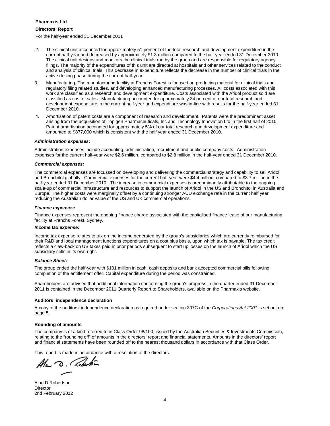### **Directors' Report**

For the half-year ended 31 December 2011

- 2. The clinical unit accounted for approximately 51 percent of the total research and development expenditure in the current half-year and decreased by approximately \$1.3 million compared to the half-year ended 31 December 2010. The clinical unit designs and monitors the clinical trials run by the group and are responsible for regulatory agency filings. The majority of the expenditures of this unit are directed at hospitals and other services related to the conduct and analysis of clinical trials. This decrease in expenditure reflects the decrease in the number of clinical trials in the active dosing phase during the current half-year.
- 3. Manufacturing. The manufacturing facility at Frenchs Forest is focused on producing material for clinical trials and regulatory filing related studies, and developing enhanced manufacturing processes. All costs associated with this work are classified as a research and development expenditure. Costs associated with the Aridol product sold are classified as cost of sales. Manufacturing accounted for approximately 34 percent of our total research and development expenditure in the current half-year and expenditure was in-line with results for the half-year ended 31 December 2010.
- 4. Amortisation of patent costs are a component of research and development. Patents were the predominant asset arising from the acquisition of Topigen Pharmaceuticals, Inc and Technology Innovation Ltd in the first half of 2010. Patent amortisation accounted for approximately 5% of our total research and development expenditure and amounted to \$877,000 which is consistent with the half year ended 31 December 2010.

#### *Administration expenses:*

Administration expenses include accounting, administration, recruitment and public company costs. Administration expenses for the current half-year were \$2.6 million, compared to \$2.8 million in the half-year ended 31 December 2010.

#### *Commercial expenses:*

The commercial expenses are focussed on developing and delivering the commercial strategy and capability to sell Aridol and Bronchitol globally. Commercial expenses for the current half-year were \$4.4 million, compared to \$3.7 million in the half-year ended 31 December 2010. The increase in commercial expenses is predominantly attributable to the ongoing scale-up of commercial infrastructure and resources to support the launch of Aridol in the US and Bronchitol in Australia and Europe. The higher costs were marginally offset by a continuing stronger AUD exchange rate in the current half year reducing the Australian dollar value of the US and UK commercial operations.

#### *Finance expenses:*

Finance expenses represent the ongoing finance charge associated with the capitalised finance lease of our manufacturing facility at Frenchs Forest, Sydney.

### *Income tax expense:*

Income tax expense relates to tax on the income generated by the group's subsidiaries which are currently reimbursed for their R&D and local management functions expenditures on a cost plus basis, upon which tax is payable. The tax credit reflects a claw-back on US taxes paid in prior periods subsequent to start up losses on the launch of Aridol which the US subsidiary sells in its own right.

#### *Balance Sheet:*

The group ended the half-year with \$101 million in cash, cash deposits and bank accepted commercial bills following completion of the entitlement offer. Capital expenditure during the period was constrained.

Shareholders are advised that additional information concerning the group's progress in the quarter ended 31 December 2011 is contained in the December 2011 Quarterly Report to Shareholders, available on the Pharmaxis website.

### **Auditors' independence declaration**

A copy of the auditors' independence declaration as required under section 307C of the *Corporations Act 2001* is set out on page 5.

### **Rounding of amounts**

The company is of a kind referred to in Class Order 98/100, issued by the Australian Securities & Investments Commission, relating to the "rounding off" of amounts in the directors' report and financial statements. Amounts in the directors' report and financial statements have been rounded off to the nearest thousand dollars in accordance with that Class Order.

This report is made in accordance with a resolution of the directors.

Alan D. Roberton

Alan D Robertson **Director** 2nd February 2012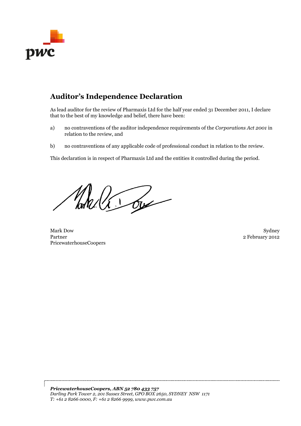

# **Auditor's Independence Declaration**

As lead auditor for the review of Pharmaxis Ltd for the half year ended 31 December 2011, I declare that to the best of my knowledge and belief, there have been:

- a) no contraventions of the auditor independence requirements of the *Corporations Act 2001* in relation to the review, and
- b) no contraventions of any applicable code of professional conduct in relation to the review.

This declaration is in respect of Pharmaxis Ltd and the entities it controlled during the period.

Man 12 ou

Mark Dow Sydney (1999) and the state of the state of the state of the Sydney Sydney (1999) and the Sydney (199 Partner 2012 PricewaterhouseCoopers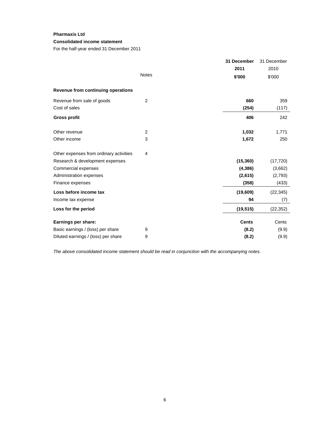# **Consolidated income statement**

For the half-year ended 31 December 2011

|                                              | 31 December  | 31 December |
|----------------------------------------------|--------------|-------------|
|                                              | 2011         | 2010        |
| <b>Notes</b>                                 | \$'000       | \$'000      |
| Revenue from continuing operations           |              |             |
| $\overline{2}$<br>Revenue from sale of goods | 660          | 359         |
| Cost of sales                                | (254)        | (117)       |
| <b>Gross profit</b>                          | 406          | 242         |
| $\overline{2}$<br>Other revenue              | 1,032        | 1,771       |
| 3<br>Other income                            | 1,672        | 250         |
| Other expenses from ordinary activities<br>4 |              |             |
| Research & development expenses              | (15, 360)    | (17, 720)   |
| Commercial expenses                          | (4,386)      | (3,662)     |
| Administration expenses                      | (2,615)      | (2,793)     |
| Finance expenses                             | (358)        | (433)       |
| Loss before income tax                       | (19,609)     | (22, 345)   |
| Income tax expense                           | 94           | (7)         |
| Loss for the period                          | (19, 515)    | (22, 352)   |
| Earnings per share:                          | <b>Cents</b> | Cents       |
| Basic earnings / (loss) per share<br>9       | (8.2)        | (9.9)       |
| Diluted earnings / (loss) per share<br>9     | (8.2)        | (9.9)       |

*The above consolidated income statement should be read in conjunction with the accompanying notes.*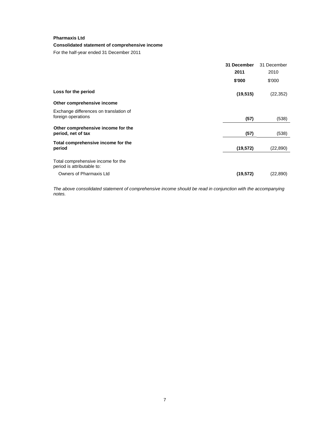### **Consolidated statement of comprehensive income**

For the half-year ended 31 December 2011

|                                                                  | 31 December | 31 December |
|------------------------------------------------------------------|-------------|-------------|
|                                                                  | 2011        | 2010        |
|                                                                  | \$'000      | \$'000      |
| Loss for the period                                              | (19, 515)   | (22, 352)   |
| Other comprehensive income                                       |             |             |
| Exchange differences on translation of<br>foreign operations     | (57)        | (538)       |
|                                                                  |             |             |
| Other comprehensive income for the<br>period, net of tax         | (57)        | (538)       |
| Total comprehensive income for the<br>period                     | (19, 572)   | (22, 890)   |
|                                                                  |             |             |
| Total comprehensive income for the<br>period is attributable to: |             |             |
| <b>Owners of Pharmaxis Ltd</b>                                   | (19, 572)   | (22, 890)   |

*The above consolidated statement of comprehensive income should be read in conjunction with the accompanying notes.*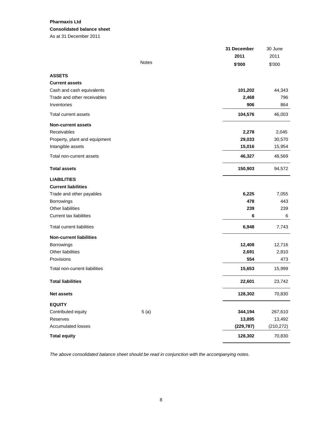# **Pharmaxis Ltd Consolidated balance sheet**  As at 31 December 2011

|                                  |              | 31 December  | 30 June    |
|----------------------------------|--------------|--------------|------------|
|                                  |              | 2011         | 2011       |
|                                  | <b>Notes</b> | \$'000       | \$'000     |
| <b>ASSETS</b>                    |              |              |            |
| <b>Current assets</b>            |              |              |            |
| Cash and cash equivalents        |              | 101,202      | 44,343     |
| Trade and other receivables      |              | 2,468        | 796        |
| Inventories                      |              | 906          | 864        |
| Total current assets             |              | 104,576      | 46,003     |
| <b>Non-current assets</b>        |              |              |            |
| Receivables                      |              | 2,278        | 2,045      |
| Property, plant and equipment    |              | 29,033       | 30,570     |
| Intangible assets                |              | 15,016       | 15,954     |
| Total non-current assets         |              | 46,327       | 48,569     |
| <b>Total assets</b>              |              | 150,903      | 94,572     |
| <b>LIABILITIES</b>               |              |              |            |
| <b>Current liabilities</b>       |              |              |            |
| Trade and other payables         |              | 6,225        | 7,055      |
| Borrowings                       |              | 478          | 443        |
| Other liabilities                |              | 239          | 239        |
| <b>Current tax liabilities</b>   |              | 6            | 6          |
| <b>Total current liabilities</b> |              | 6,948        | 7,743      |
| <b>Non-current liabilities</b>   |              |              |            |
| Borrowings                       |              | 12,408       | 12,716     |
| Other liabilities<br>Provisions  |              | 2,691<br>554 | 2,810      |
|                                  |              |              | 473        |
| Total non-current liabilities    |              | 15,653       | 15,999     |
| <b>Total liabilities</b>         |              | 22,601       | 23,742     |
| <b>Net assets</b>                |              | 128,302      | 70,830     |
| <b>EQUITY</b>                    |              |              |            |
| Contributed equity               | 5(a)         | 344,194      | 267,610    |
| Reserves                         |              | 13,895       | 13,492     |
| Accumulated losses               |              | (229, 787)   | (210, 272) |
| <b>Total equity</b>              |              | 128,302      | 70,830     |

*The above consolidated balance sheet should be read in conjunction with the accompanying notes.*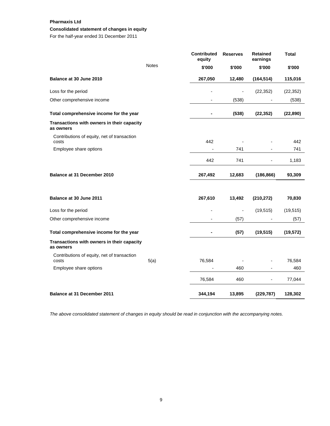### **Consolidated statement of changes in equity**

For the half-year ended 31 December 2011

|                                                         |              | <b>Contributed</b><br>equity | <b>Reserves</b>          | <b>Retained</b><br>earnings | <b>Total</b> |
|---------------------------------------------------------|--------------|------------------------------|--------------------------|-----------------------------|--------------|
|                                                         | <b>Notes</b> | \$'000                       | \$'000                   | \$'000                      | \$'000       |
| Balance at 30 June 2010                                 |              | 267,050                      | 12,480                   | (164, 514)                  | 115,016      |
| Loss for the period                                     |              |                              | ÷,                       | (22, 352)                   | (22, 352)    |
| Other comprehensive income                              |              | $\overline{a}$               | (538)                    |                             | (538)        |
| Total comprehensive income for the year                 |              |                              | (538)                    | (22, 352)                   | (22, 890)    |
| Transactions with owners in their capacity<br>as owners |              |                              |                          |                             |              |
| Contributions of equity, net of transaction<br>costs    |              | 442                          |                          |                             | 442          |
| Employee share options                                  |              | $\blacksquare$               | 741                      | $\overline{a}$              | 741          |
|                                                         |              | 442                          | 741                      | L,                          | 1,183        |
| Balance at 31 December 2010                             |              | 267,492                      | 12,683                   | (186, 866)                  | 93,309       |
| Balance at 30 June 2011                                 |              | 267,610                      | 13,492                   | (210, 272)                  | 70,830       |
| Loss for the period                                     |              | $\overline{a}$               | $\overline{\phantom{a}}$ | (19, 515)                   | (19, 515)    |
| Other comprehensive income                              |              |                              | (57)                     |                             | (57)         |
| Total comprehensive income for the year                 |              |                              | (57)                     | (19, 515)                   | (19, 572)    |
| Transactions with owners in their capacity<br>as owners |              |                              |                          |                             |              |
| Contributions of equity, net of transaction<br>costs    | 5(a)         | 76,584                       |                          | $\overline{a}$              | 76,584       |
| Employee share options                                  |              |                              | 460                      | $\blacksquare$              | 460          |
|                                                         |              | 76,584                       | 460                      | $\overline{\phantom{a}}$    | 77,044       |
| <b>Balance at 31 December 2011</b>                      |              | 344,194                      | 13,895                   | (229, 787)                  | 128,302      |

*The above consolidated statement of changes in equity should be read in conjunction with the accompanying notes.*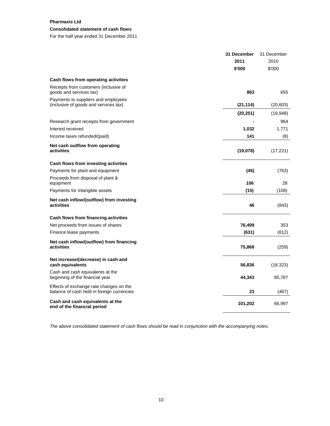### **Consolidated statement of cash flows**

For the half-year ended 31 December 2011

|                                                                                       | 31 December | 31 December |
|---------------------------------------------------------------------------------------|-------------|-------------|
|                                                                                       | 2011        | 2010        |
|                                                                                       | \$'000      | \$'000      |
| Cash flows from operating activities                                                  |             |             |
| Receipts from customers (inclusive of<br>goods and services tax)                      | 863         | 655         |
| Payments to suppliers and employees<br>(inclusive of goods and services tax)          | (21, 114)   | (20, 603)   |
|                                                                                       | (20, 251)   | (19,948)    |
| Research grant receipts from government                                               |             | 964         |
| Interest received                                                                     | 1,032       | 1,771       |
| Income taxes refunded/(paid)                                                          | 141         | (8)         |
| Net cash outflow from operating<br>activities                                         | (19,078)    | (17, 221)   |
| Cash flows from investing activities                                                  |             |             |
| Payments for plant and equipment                                                      | (45)        | (763)       |
| Proceeds from disposal of plant &                                                     |             |             |
| equipment                                                                             | 106         | 28          |
| Payments for intangible assets                                                        | (15)        | (108)       |
| Net cash inflow/(outflow) from investing<br>activities                                | 46          | (843)       |
| Cash flows from financing activities                                                  |             |             |
| Net proceeds from issues of shares                                                    | 76,499      | 353         |
| Finance lease payments                                                                | (631)       | (612)       |
| Net cash inflow/(outflow) from financing<br>activities                                | 75,868      | (259)       |
| Net increase/(decrease) in cash and<br>cash equivalents                               | 56,836      | (18, 323)   |
| Cash and cash equivalents at the<br>beginning of the financial year                   | 44,343      | 85,787      |
| Effects of exchange rate changes on the<br>balance of cash held in foreign currencies | 23          | (467)       |
| Cash and cash equivalents at the<br>end of the financial period                       | 101,202     | 66,997      |

*The above consolidated statement of cash flows should be read in conjunction with the accompanying notes.*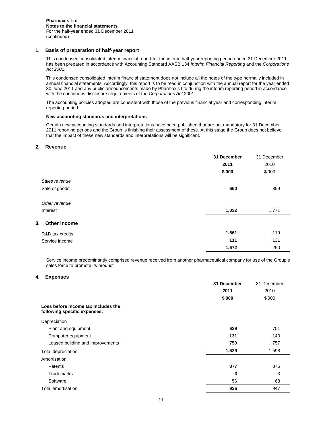### **1. Basis of preparation of half-year report**

This condensed consolidated interim financial report for the interim half-year reporting period ended 31 December 2011 has been prepared in accordance with Accounting Standard AASB 134 *Interim Financial Reporting* and the *Corporations Act 2001*.

This condensed consolidated interim financial statement does not include all the notes of the type normally included in annual financial statements. Accordingly, this report is to be read in conjunction with the annual report for the year ended 30 June 2011 and any public announcements made by Pharmaxis Ltd during the interim reporting period in accordance with the continuous disclosure requirements of the *Corporations Act* 2001.

The accounting policies adopted are consistent with those of the previous financial year and corresponding interim reporting period.

### **New accounting standards and interpretations**

Certain new accounting standards and interpretations have been published that are not mandatory for 31 December 2011 reporting periods and the Group is finishing their assessment of these. At this stage the Group does not believe that the impact of these new standards and interpretations will be significant.

### **2. Revenue**

|                    | 31 December | 31 December |
|--------------------|-------------|-------------|
|                    | 2011        | 2010        |
|                    | \$'000      | \$'000      |
| Sales revenue      |             |             |
| Sale of goods      | 660         | 359         |
| Other revenue      |             |             |
| Interest           | 1,032       | 1,771       |
| Other income<br>3. |             |             |
| R&D tax credits    | 1,561       | 119         |
| Service income     | 111         | 131         |
|                    | 1,672       | 250         |

Service income predominantly comprised revenue received from another pharmaceutical company for use of the Group's sales force to promote its product.

### **4. Expenses**

|                                                                     | 31 December | 31 December |
|---------------------------------------------------------------------|-------------|-------------|
|                                                                     | 2011        | 2010        |
|                                                                     | \$'000      | \$'000      |
| Loss before income tax includes the<br>following specific expenses: |             |             |
| Depreciation                                                        |             |             |
| Plant and equipment                                                 | 639         | 701         |
| Computer equipment                                                  | 131         | 140         |
| Leased building and improvements                                    | 759         | 757         |
| Total depreciation                                                  | 1,529       | 1,598       |
| Amortisation                                                        |             |             |
| Patents                                                             | 877         | 876         |
| <b>Trademarks</b>                                                   | 3           | 3           |
| Software                                                            | 56          | 68          |
| Total amortisation                                                  | 936         | 947         |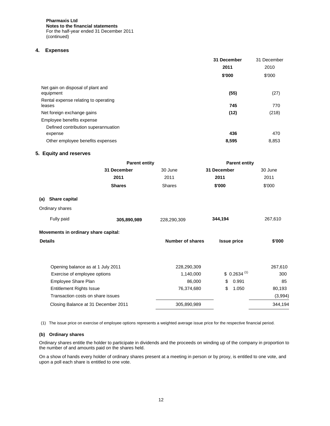**Pharmaxis Ltd Notes to the financial statements**  For the half-year ended 31 December 2011 (continued)

# **4. Expenses**

|                                                | 31 December | 31 December |
|------------------------------------------------|-------------|-------------|
|                                                | 2011        | 2010        |
|                                                | \$'000      | \$'000      |
| Net gain on disposal of plant and<br>equipment | (55)        | (27)        |
| Rental expense relating to operating<br>leases | 745         | 770         |
| Net foreign exchange gains                     | (12)        | (218)       |
| Employee benefits expense                      |             |             |
| Defined contribution superannuation            |             |             |
| expense                                        | 436         | 470         |
| Other employee benefits expenses               | 8,595       | 8,853       |

### **5. Equity and reserves**

|                                      | <b>Parent entity</b> |                  | <b>Parent entity</b>    |         |
|--------------------------------------|----------------------|------------------|-------------------------|---------|
|                                      | 31 December          | 30 June          | 31 December             | 30 June |
|                                      | 2011                 | 2011             | 2011                    | 2011    |
|                                      | <b>Shares</b>        | <b>Shares</b>    | \$'000                  | \$'000  |
| Share capital<br>(a)                 |                      |                  |                         |         |
| Ordinary shares                      |                      |                  |                         |         |
| Fully paid                           | 305,890,989          | 228,290,309      | 344,194                 | 267,610 |
| Movements in ordinary share capital: |                      |                  |                         |         |
| <b>Details</b>                       |                      | Number of shares | <b>Issue price</b>      | \$'000  |
| Opening balance as at 1 July 2011    |                      | 228,290,309      |                         | 267,610 |
| Exercise of employee options         |                      | 1,140,000        | \$0.2634 <sup>(1)</sup> | 300     |
| Employee Share Plan                  |                      | 86,000           | 0.991<br>\$             | 85      |
| <b>Entitlement Rights Issue</b>      |                      | 76,374,680       | 1.050<br>\$             | 80,193  |
| Transaction costs on share issues    |                      |                  |                         | (3,994) |
| Closing Balance at 31 December 2011  |                      | 305,890,989      |                         | 344,194 |

(1) The issue price on exercise of employee options represents a weighted average issue price for the respective financial period.

### **(b) Ordinary shares**

Ordinary shares entitle the holder to participate in dividends and the proceeds on winding up of the company in proportion to the number of and amounts paid on the shares held.

On a show of hands every holder of ordinary shares present at a meeting in person or by proxy, is entitled to one vote, and upon a poll each share is entitled to one vote.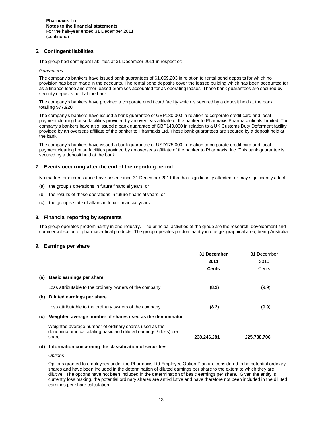**Pharmaxis Ltd Notes to the financial statements**  For the half-year ended 31 December 2011 (continued)

### **6. Contingent liabilities**

The group had contingent liabilities at 31 December 2011 in respect of:

#### *Guarantees*

The company's bankers have issued bank guarantees of \$1,069,203 in relation to rental bond deposits for which no provision has been made in the accounts. The rental bond deposits cover the leased building which has been accounted for as a finance lease and other leased premises accounted for as operating leases. These bank guarantees are secured by security deposits held at the bank.

The company's bankers have provided a corporate credit card facility which is secured by a deposit held at the bank totalling \$77,920.

The company's bankers have issued a bank guarantee of GBP180,000 in relation to corporate credit card and local payment clearing house facilities provided by an overseas affiliate of the banker to Pharmaxis Pharmaceuticals Limited. The company's bankers have also issued a bank guarantee of GBP140,000 in relation to a UK Customs Duty Deferment facility provided by an overseas affiliate of the banker to Pharmaxis Ltd. These bank guarantees are secured by a deposit held at the bank.

The company's bankers have issued a bank guarantee of USD175,000 in relation to corporate credit card and local payment clearing house facilities provided by an overseas affiliate of the banker to Pharmaxis, Inc. This bank guarantee is secured by a deposit held at the bank.

### **7. Events occurring after the end of the reporting period**

No matters or circumstance have arisen since 31 December 2011 that has significantly affected, or may significantly affect:

- (a) the group's operations in future financial years, or
- (b) the results of those operations in future financial years, or
- (c) the group's state of affairs in future financial years.

### **8. Financial reporting by segments**

The group operates predominantly in one industry. The principal activities of the group are the research, development and commercialisation of pharmaceutical products. The group operates predominantly in one geographical area, being Australia.

### **9. Earnings per share**

|     |                                                                                                                                       | 31 December | 31 December |
|-----|---------------------------------------------------------------------------------------------------------------------------------------|-------------|-------------|
|     |                                                                                                                                       | 2011        | 2010        |
|     |                                                                                                                                       | Cents       | Cents       |
| (a) | Basic earnings per share                                                                                                              |             |             |
|     | Loss attributable to the ordinary owners of the company                                                                               | (8.2)       | (9.9)       |
| (b) | Diluted earnings per share                                                                                                            |             |             |
|     | Loss attributable to the ordinary owners of the company                                                                               | (8.2)       | (9.9)       |
| (c) | Weighted average number of shares used as the denominator                                                                             |             |             |
|     | Weighted average number of ordinary shares used as the<br>denominator in calculating basic and diluted earnings / (loss) per<br>share | 238,246,281 | 225,788,706 |

#### **(d) Information concerning the classification of securities**

#### *Options*

Options granted to employees under the Pharmaxis Ltd Employee Option Plan are considered to be potential ordinary shares and have been included in the determination of diluted earnings per share to the extent to which they are dilutive. The options have not been included in the determination of basic earnings per share. Given the entity is currently loss making, the potential ordinary shares are anti-dilutive and have therefore not been included in the diluted earnings per share calculation.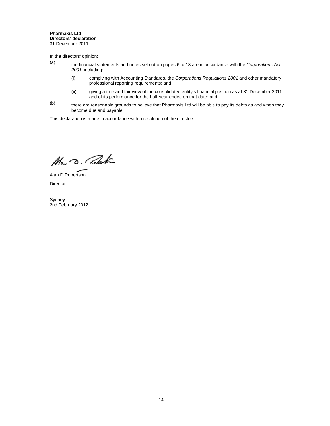#### **Pharmaxis Ltd Directors' declaration**  31 December 2011

In the directors' opinion:

- (a) the financial statements and notes set out on pages 6 to 13 are in accordance with the *Corporations Act 2001,* including:
	- (i) complying with Accounting Standards, the *Corporations Regulations 2001* and other mandatory professional reporting requirements; and
	- (ii) giving a true and fair view of the consolidated entity's financial position as at 31 December 2011 and of its performance for the half-year ended on that date; and
- $(b)$  there are reasonable grounds to believe that Pharmaxis Ltd will be able to pay its debts as and when they become due and payable.

This declaration is made in accordance with a resolution of the directors.

Alan D. Roberton

Alan D Robertson Director

Sydney 2nd February 2012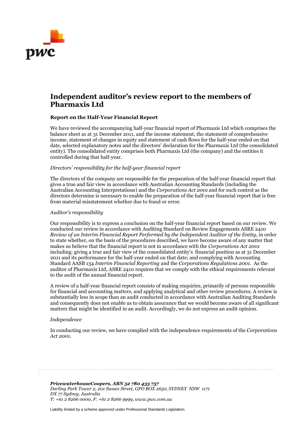

# **Independent auditor's review report to the members of Pharmaxis Ltd**

# **Report on the Half-Year Financial Report**

We have reviewed the accompanying half-year financial report of Pharmaxis Ltd which comprises the balance sheet as at 31 December 2011, and the income statement, the statement of comprehensive income, statement of changes in equity and statement of cash flows for the half-year ended on that date, selected explanatory notes and the directors' declaration for the Pharmaxis Ltd (the consolidated entity). The consolidated entity comprises both Pharmaxis Ltd (the company) and the entities it controlled during that half-year.

### *Directors' responsibility for the half-year financial report*

The directors of the company are responsible for the preparation of the half-year financial report that gives a true and fair view in accordance with Australian Accounting Standards (including the Australian Accounting Interpretations) and the *Corporations Act 2001* and for such control as the directors determine is necessary to enable the preparation of the half-year financial report that is free from material misstatement whether due to fraud or error.

### *Auditor's responsibility*

Our responsibility is to express a conclusion on the half-year financial report based on our review. We conducted our review in accordance with Auditing Standard on Review Engagements ASRE 2410 *Review of an Interim Financial Report Performed by the Independent Auditor of the Entity*, in order to state whether, on the basis of the procedures described, we have become aware of any matter that makes us believe that the financial report is not in accordance with the *Corporations Act 2001* including: giving a true and fair view of the consolidated entity's financial position as at 31 December 2011 and its performance for the half-year ended on that date; and complying with Accounting Standard AASB 134 *Interim Financial Reporting* and the *Corporations Regulations 2001.* As the auditor of Pharmaxis Ltd, ASRE 2410 requires that we comply with the ethical requirements relevant to the audit of the annual financial report.

A review of a half-year financial report consists of making enquiries, primarily of persons responsible for financial and accounting matters, and applying analytical and other review procedures. A review is substantially less in scope than an audit conducted in accordance with Australian Auditing Standards and consequently does not enable us to obtain assurance that we would become aware of all significant matters that might be identified in an audit. Accordingly, we do not express an audit opinion.

### *Independence*

In conducting our review, we have complied with the independence requirements of the *Corporations Act 2001.*

*PricewaterhouseCoopers, ABN 52 780 433 757 Darling Park Tower 2, 201 Sussex Street, GPO BOX 2650, SYDNEY NSW 1171 DX 77 Sydney, Australia T: +61 2 8266 0000, F: +61 2 8266 9999, www.pwc.com.au*

Liability limited by a scheme approved under Professional Standards Legislation.